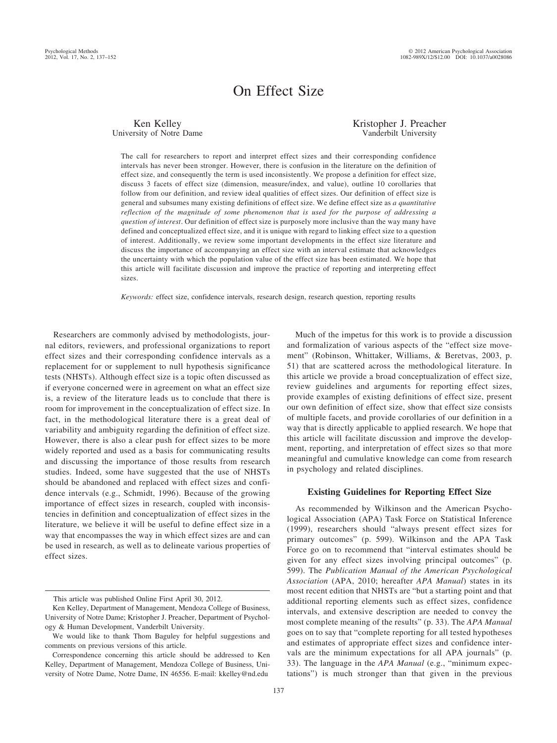# On Effect Size

Ken Kelley University of Notre Dame Kristopher J. Preacher Vanderbilt University

The call for researchers to report and interpret effect sizes and their corresponding confidence intervals has never been stronger. However, there is confusion in the literature on the definition of effect size, and consequently the term is used inconsistently. We propose a definition for effect size, discuss 3 facets of effect size (dimension, measure/index, and value), outline 10 corollaries that follow from our definition, and review ideal qualities of effect sizes. Our definition of effect size is general and subsumes many existing definitions of effect size. We define effect size as *a quantitative reflection of the magnitude of some phenomenon that is used for the purpose of addressing a question of interest*. Our definition of effect size is purposely more inclusive than the way many have defined and conceptualized effect size, and it is unique with regard to linking effect size to a question of interest. Additionally, we review some important developments in the effect size literature and discuss the importance of accompanying an effect size with an interval estimate that acknowledges the uncertainty with which the population value of the effect size has been estimated. We hope that this article will facilitate discussion and improve the practice of reporting and interpreting effect sizes.

*Keywords:* effect size, confidence intervals, research design, research question, reporting results

Researchers are commonly advised by methodologists, journal editors, reviewers, and professional organizations to report effect sizes and their corresponding confidence intervals as a replacement for or supplement to null hypothesis significance tests (NHSTs). Although effect size is a topic often discussed as if everyone concerned were in agreement on what an effect size is, a review of the literature leads us to conclude that there is room for improvement in the conceptualization of effect size. In fact, in the methodological literature there is a great deal of variability and ambiguity regarding the definition of effect size. However, there is also a clear push for effect sizes to be more widely reported and used as a basis for communicating results and discussing the importance of those results from research studies. Indeed, some have suggested that the use of NHSTs should be abandoned and replaced with effect sizes and confidence intervals (e.g., Schmidt, 1996). Because of the growing importance of effect sizes in research, coupled with inconsistencies in definition and conceptualization of effect sizes in the literature, we believe it will be useful to define effect size in a way that encompasses the way in which effect sizes are and can be used in research, as well as to delineate various properties of effect sizes.

Much of the impetus for this work is to provide a discussion and formalization of various aspects of the "effect size movement" (Robinson, Whittaker, Williams, & Beretvas, 2003, p. 51) that are scattered across the methodological literature. In this article we provide a broad conceptualization of effect size, review guidelines and arguments for reporting effect sizes, provide examples of existing definitions of effect size, present our own definition of effect size, show that effect size consists of multiple facets, and provide corollaries of our definition in a way that is directly applicable to applied research. We hope that this article will facilitate discussion and improve the development, reporting, and interpretation of effect sizes so that more meaningful and cumulative knowledge can come from research in psychology and related disciplines.

#### **Existing Guidelines for Reporting Effect Size**

As recommended by Wilkinson and the American Psychological Association (APA) Task Force on Statistical Inference (1999), researchers should "always present effect sizes for primary outcomes" (p. 599). Wilkinson and the APA Task Force go on to recommend that "interval estimates should be given for any effect sizes involving principal outcomes" (p. 599). The *Publication Manual of the American Psychological Association* (APA, 2010; hereafter *APA Manual*) states in its most recent edition that NHSTs are "but a starting point and that additional reporting elements such as effect sizes, confidence intervals, and extensive description are needed to convey the most complete meaning of the results" (p. 33). The *APA Manual* goes on to say that "complete reporting for all tested hypotheses and estimates of appropriate effect sizes and confidence intervals are the minimum expectations for all APA journals" (p. 33). The language in the *APA Manual* (e.g., "minimum expectations") is much stronger than that given in the previous

This article was published Online First April 30, 2012.

Ken Kelley, Department of Management, Mendoza College of Business, University of Notre Dame; Kristopher J. Preacher, Department of Psychology & Human Development, Vanderbilt University.

We would like to thank Thom Baguley for helpful suggestions and comments on previous versions of this article.

Correspondence concerning this article should be addressed to Ken Kelley, Department of Management, Mendoza College of Business, University of Notre Dame, Notre Dame, IN 46556. E-mail: kkelley@nd.edu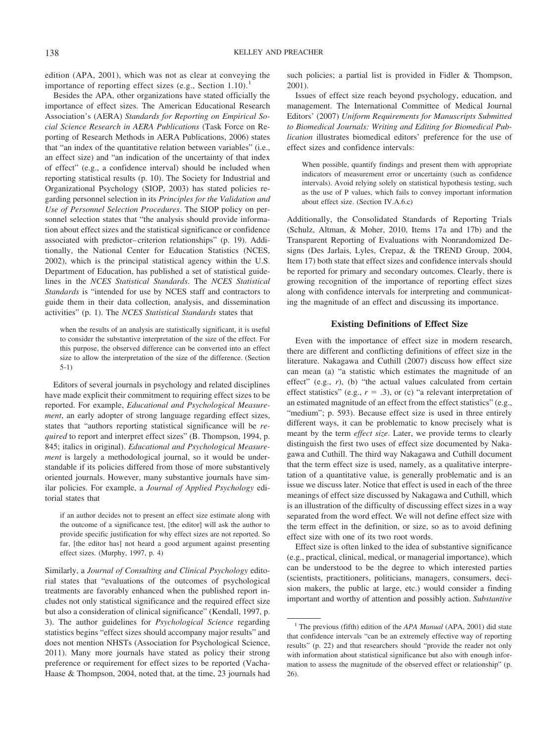edition (APA, 2001), which was not as clear at conveying the importance of reporting effect sizes (e.g., Section  $1.10$ ).<sup>1</sup>

Besides the APA, other organizations have stated officially the importance of effect sizes. The American Educational Research Association's (AERA) *Standards for Reporting on Empirical Social Science Research in AERA Publications* (Task Force on Reporting of Research Methods in AERA Publications, 2006) states that "an index of the quantitative relation between variables" (i.e., an effect size) and "an indication of the uncertainty of that index of effect" (e.g., a confidence interval) should be included when reporting statistical results (p. 10). The Society for Industrial and Organizational Psychology (SIOP, 2003) has stated policies regarding personnel selection in its *Principles for the Validation and Use of Personnel Selection Procedures*. The SIOP policy on personnel selection states that "the analysis should provide information about effect sizes and the statistical significance or confidence associated with predictor– criterion relationships" (p. 19). Additionally, the National Center for Education Statistics (NCES, 2002), which is the principal statistical agency within the U.S. Department of Education, has published a set of statistical guidelines in the *NCES Statistical Standards*. The *NCES Statistical Standards* is "intended for use by NCES staff and contractors to guide them in their data collection, analysis, and dissemination activities" (p. 1). The *NCES Statistical Standards* states that

when the results of an analysis are statistically significant, it is useful to consider the substantive interpretation of the size of the effect. For this purpose, the observed difference can be converted into an effect size to allow the interpretation of the size of the difference. (Section 5-1)

Editors of several journals in psychology and related disciplines have made explicit their commitment to requiring effect sizes to be reported. For example, *Educational and Psychological Measurement*, an early adopter of strong language regarding effect sizes, states that "authors reporting statistical significance will be *required* to report and interpret effect sizes" (B. Thompson, 1994, p. 845; italics in original). *Educational and Psychological Measurement* is largely a methodological journal, so it would be understandable if its policies differed from those of more substantively oriented journals. However, many substantive journals have similar policies. For example, a *Journal of Applied Psychology* editorial states that

if an author decides not to present an effect size estimate along with the outcome of a significance test, [the editor] will ask the author to provide specific justification for why effect sizes are not reported. So far, [the editor has] not heard a good argument against presenting effect sizes. (Murphy, 1997, p. 4)

Similarly, a *Journal of Consulting and Clinical Psychology* editorial states that "evaluations of the outcomes of psychological treatments are favorably enhanced when the published report includes not only statistical significance and the required effect size but also a consideration of clinical significance" (Kendall, 1997, p. 3). The author guidelines for *Psychological Science* regarding statistics begins "effect sizes should accompany major results" and does not mention NHSTs (Association for Psychological Science, 2011). Many more journals have stated as policy their strong preference or requirement for effect sizes to be reported (Vacha-Haase & Thompson, 2004, noted that, at the time, 23 journals had such policies; a partial list is provided in Fidler & Thompson, 2001).

Issues of effect size reach beyond psychology, education, and management. The International Committee of Medical Journal Editors' (2007) *Uniform Requirements for Manuscripts Submitted to Biomedical Journals: Writing and Editing for Biomedical Publication* illustrates biomedical editors' preference for the use of effect sizes and confidence intervals:

When possible, quantify findings and present them with appropriate indicators of measurement error or uncertainty (such as confidence intervals). Avoid relying solely on statistical hypothesis testing, such as the use of P values, which fails to convey important information about effect size. (Section IV.A.6.c)

Additionally, the Consolidated Standards of Reporting Trials (Schulz, Altman, & Moher, 2010, Items 17a and 17b) and the Transparent Reporting of Evaluations with Nonrandomized Designs (Des Jarlais, Lyles, Crepaz, & the TREND Group, 2004, Item 17) both state that effect sizes and confidence intervals should be reported for primary and secondary outcomes. Clearly, there is growing recognition of the importance of reporting effect sizes along with confidence intervals for interpreting and communicating the magnitude of an effect and discussing its importance.

#### **Existing Definitions of Effect Size**

Even with the importance of effect size in modern research, there are different and conflicting definitions of effect size in the literature. Nakagawa and Cuthill (2007) discuss how effect size can mean (a) "a statistic which estimates the magnitude of an effect" (e.g., *r*), (b) "the actual values calculated from certain effect statistics" (e.g.,  $r = .3$ ), or (c) "a relevant interpretation of an estimated magnitude of an effect from the effect statistics" (e.g., "medium"; p. 593). Because effect size is used in three entirely different ways, it can be problematic to know precisely what is meant by the term *effect size*. Later, we provide terms to clearly distinguish the first two uses of effect size documented by Nakagawa and Cuthill. The third way Nakagawa and Cuthill document that the term effect size is used, namely, as a qualitative interpretation of a quantitative value, is generally problematic and is an issue we discuss later. Notice that effect is used in each of the three meanings of effect size discussed by Nakagawa and Cuthill, which is an illustration of the difficulty of discussing effect sizes in a way separated from the word effect. We will not define effect size with the term effect in the definition, or size, so as to avoid defining effect size with one of its two root words.

Effect size is often linked to the idea of substantive significance (e.g., practical, clinical, medical, or managerial importance), which can be understood to be the degree to which interested parties (scientists, practitioners, politicians, managers, consumers, decision makers, the public at large, etc.) would consider a finding important and worthy of attention and possibly action. *Substantive*

<sup>1</sup> The previous (fifth) edition of the *APA Manual* (APA, 2001) did state that confidence intervals "can be an extremely effective way of reporting results" (p. 22) and that researchers should "provide the reader not only with information about statistical significance but also with enough information to assess the magnitude of the observed effect or relationship" (p. 26).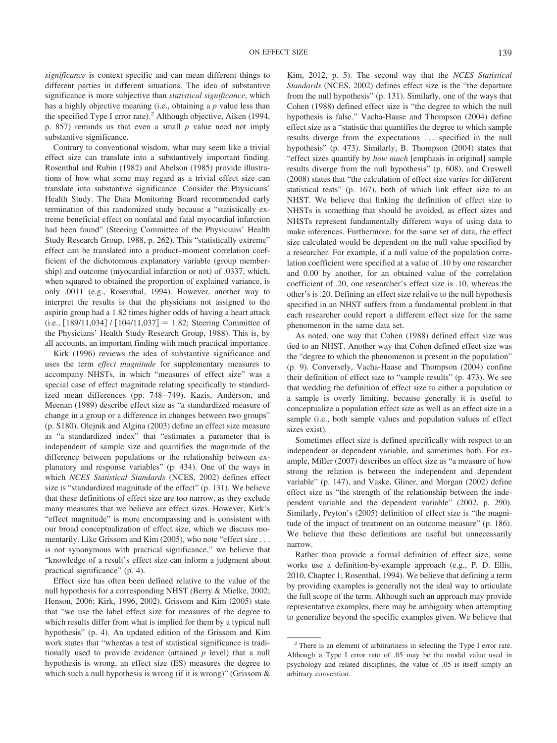*significance* is context specific and can mean different things to different parties in different situations. The idea of substantive significance is more subjective than *statistical significance*, which has a highly objective meaning (i.e., obtaining a *p* value less than the specified Type I error rate).<sup>2</sup> Although objective, Aiken (1994, p. 857) reminds us that even a small *p* value need not imply substantive significance.

Contrary to conventional wisdom, what may seem like a trivial effect size can translate into a substantively important finding. Rosenthal and Rubin (1982) and Abelson (1985) provide illustrations of how what some may regard as a trivial effect size can translate into substantive significance. Consider the Physicians' Health Study. The Data Monitoring Board recommended early termination of this randomized study because a "statistically extreme beneficial effect on nonfatal and fatal myocardial infarction had been found" (Steering Committee of the Physicians' Health Study Research Group, 1988, p. 262). This "statistically extreme" effect can be translated into a product–moment correlation coefficient of the dichotomous explanatory variable (group membership) and outcome (myocardial infarction or not) of .0337, which, when squared to obtained the proportion of explained variance, is only .0011 (e.g., Rosenthal, 1994). However, another way to interpret the results is that the physicians not assigned to the aspirin group had a 1.82 times higher odds of having a heart attack  $(i.e., [189/11,034] / [104/11,037] = 1.82$ ; Steering Committee of the Physicians' Health Study Research Group, 1988). This is, by all accounts, an important finding with much practical importance.

Kirk (1996) reviews the idea of substantive significance and uses the term *effect magnitude* for supplementary measures to accompany NHSTs, in which "measures of effect size" was a special case of effect magnitude relating specifically to standardized mean differences (pp. 748 –749). Kazis, Anderson, and Meenan (1989) describe effect size as "a standardized measure of change in a group or a difference in changes between two groups" (p. S180). Olejnik and Algina (2003) define an effect size measure as "a standardized index" that "estimates a parameter that is independent of sample size and quantifies the magnitude of the difference between populations or the relationship between explanatory and response variables" (p. 434). One of the ways in which *NCES Statistical Standards* (NCES, 2002) defines effect size is "standardized magnitude of the effect" (p. 131). We believe that these definitions of effect size are too narrow, as they exclude many measures that we believe are effect sizes. However, Kirk's "effect magnitude" is more encompassing and is consistent with our broad conceptualization of effect size, which we discuss momentarily. Like Grissom and Kim (2005), who note "effect size . . . is not synonymous with practical significance," we believe that "knowledge of a result's effect size can inform a judgment about practical significance" (p. 4).

Effect size has often been defined relative to the value of the null hypothesis for a corresponding NHST (Berry & Mielke, 2002; Henson, 2006; Kirk, 1996, 2002). Grissom and Kim (2005) state that "we use the label effect size for measures of the degree to which results differ from what is implied for them by a typical null hypothesis" (p. 4). An updated edition of the Grissom and Kim work states that "whereas a test of statistical significance is traditionally used to provide evidence (attained *p* level) that a null hypothesis is wrong, an effect size (ES) measures the degree to which such a null hypothesis is wrong (if it is wrong)" (Grissom &

Kim, 2012, p. 5). The second way that the *NCES Statistical Standards* (NCES, 2002) defines effect size is the "the departure from the null hypothesis" (p. 131). Similarly, one of the ways that Cohen (1988) defined effect size is "the degree to which the null hypothesis is false." Vacha-Haase and Thompson (2004) define effect size as a "statistic that quantifies the degree to which sample results diverge from the expectations . . . specified in the null hypothesis" (p. 473). Similarly, B. Thompson (2004) states that "effect sizes quantify by *how much* [emphasis in original] sample results diverge from the null hypothesis" (p. 608), and Creswell (2008) states that "the calculation of effect size varies for different statistical tests" (p. 167), both of which link effect size to an NHST. We believe that linking the definition of effect size to NHSTs is something that should be avoided, as effect sizes and NHSTs represent fundamentally different ways of using data to make inferences. Furthermore, for the same set of data, the effect size calculated would be dependent on the null value specified by a researcher. For example, if a null value of the population correlation coefficient were specified at a value of .10 by one researcher and 0.00 by another, for an obtained value of the correlation coefficient of .20, one researcher's effect size is .10, whereas the other's is .20. Defining an effect size relative to the null hypothesis specified in an NHST suffers from a fundamental problem in that each researcher could report a different effect size for the same phenomenon in the same data set.

As noted, one way that Cohen (1988) defined effect size was tied to an NHST. Another way that Cohen defined effect size was the "degree to which the phenomenon is present in the population" (p. 9). Conversely, Vacha-Haase and Thompson (2004) confine their definition of effect size to "sample results" (p. 473). We see that wedding the definition of effect size to either a population or a sample is overly limiting, because generally it is useful to conceptualize a population effect size as well as an effect size in a sample (i.e., both sample values and population values of effect sizes exist).

Sometimes effect size is defined specifically with respect to an independent or dependent variable, and sometimes both. For example, Miller (2007) describes an effect size as "a measure of how strong the relation is between the independent and dependent variable" (p. 147), and Vaske, Gliner, and Morgan (2002) define effect size as "the strength of the relationship between the independent variable and the dependent variable" (2002, p. 290). Similarly, Peyton's (2005) definition of effect size is "the magnitude of the impact of treatment on an outcome measure" (p. 186). We believe that these definitions are useful but unnecessarily narrow.

Rather than provide a formal definition of effect size, some works use a definition-by-example approach (e.g., P. D. Ellis, 2010, Chapter 1; Rosenthal, 1994). We believe that defining a term by providing examples is generally not the ideal way to articulate the full scope of the term. Although such an approach may provide representative examples, there may be ambiguity when attempting to generalize beyond the specific examples given. We believe that

<sup>2</sup> There is an element of arbitrariness in selecting the Type I error rate. Although a Type I error rate of .05 may be the modal value used in psychology and related disciplines, the value of .05 is itself simply an arbitrary convention.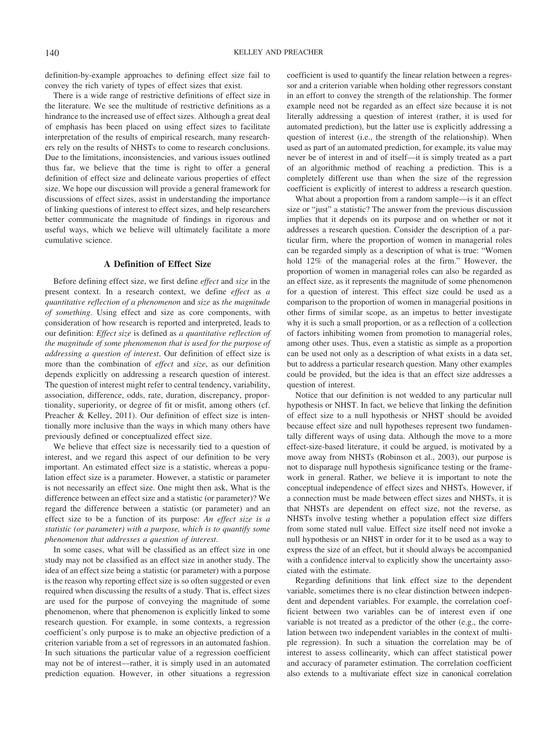definition-by-example approaches to defining effect size fail to convey the rich variety of types of effect sizes that exist.

There is a wide range of restrictive definitions of effect size in the literature. We see the multitude of restrictive definitions as a hindrance to the increased use of effect sizes. Although a great deal of emphasis has been placed on using effect sizes to facilitate interpretation of the results of empirical research, many researchers rely on the results of NHSTs to come to research conclusions. Due to the limitations, inconsistencies, and various issues outlined thus far, we believe that the time is right to offer a general definition of effect size and delineate various properties of effect size. We hope our discussion will provide a general framework for discussions of effect sizes, assist in understanding the importance of linking questions of interest to effect sizes, and help researchers better communicate the magnitude of findings in rigorous and useful ways, which we believe will ultimately facilitate a more cumulative science.

## **A Definition of Effect Size**

Before defining effect size, we first define *effect* and *size* in the present context. In a research context, we define *effect* as *a quantitative reflection of a phenomenon* and *size* as *the magnitude of something*. Using effect and size as core components, with consideration of how research is reported and interpreted, leads to our definition: *Effect size* is defined as *a quantitative reflection of the magnitude of some phenomenon that is used for the purpose of addressing a question of interest*. Our definition of effect size is more than the combination of *effect* and *size*, as our definition depends explicitly on addressing a research question of interest. The question of interest might refer to central tendency, variability, association, difference, odds, rate, duration, discrepancy, proportionality, superiority, or degree of fit or misfit, among others (cf. Preacher & Kelley, 2011). Our definition of effect size is intentionally more inclusive than the ways in which many others have previously defined or conceptualized effect size.

We believe that effect size is necessarily tied to a question of interest, and we regard this aspect of our definition to be very important. An estimated effect size is a statistic, whereas a population effect size is a parameter. However, a statistic or parameter is not necessarily an effect size. One might then ask, What is the difference between an effect size and a statistic (or parameter)? We regard the difference between a statistic (or parameter) and an effect size to be a function of its purpose: *An effect size is a statistic (or parameter) with a purpose, which is to quantify some phenomenon that addresses a question of interest*.

In some cases, what will be classified as an effect size in one study may not be classified as an effect size in another study. The idea of an effect size being a statistic (or parameter) with a purpose is the reason why reporting effect size is so often suggested or even required when discussing the results of a study. That is, effect sizes are used for the purpose of conveying the magnitude of some phenomenon, where that phenomenon is explicitly linked to some research question. For example, in some contexts, a regression coefficient's only purpose is to make an objective prediction of a criterion variable from a set of regressors in an automated fashion. In such situations the particular value of a regression coefficient may not be of interest—rather, it is simply used in an automated prediction equation. However, in other situations a regression coefficient is used to quantify the linear relation between a regressor and a criterion variable when holding other regressors constant in an effort to convey the strength of the relationship. The former example need not be regarded as an effect size because it is not literally addressing a question of interest (rather, it is used for automated prediction), but the latter use is explicitly addressing a question of interest (i.e., the strength of the relationship). When used as part of an automated prediction, for example, its value may never be of interest in and of itself—it is simply treated as a part of an algorithmic method of reaching a prediction. This is a completely different use than when the size of the regression coefficient is explicitly of interest to address a research question.

What about a proportion from a random sample—is it an effect size or "just" a statistic? The answer from the previous discussion implies that it depends on its purpose and on whether or not it addresses a research question. Consider the description of a particular firm, where the proportion of women in managerial roles can be regarded simply as a description of what is true: "Women hold 12% of the managerial roles at the firm." However, the proportion of women in managerial roles can also be regarded as an effect size, as it represents the magnitude of some phenomenon for a question of interest. This effect size could be used as a comparison to the proportion of women in managerial positions in other firms of similar scope, as an impetus to better investigate why it is such a small proportion, or as a reflection of a collection of factors inhibiting women from promotion to managerial roles, among other uses. Thus, even a statistic as simple as a proportion can be used not only as a description of what exists in a data set, but to address a particular research question. Many other examples could be provided, but the idea is that an effect size addresses a question of interest.

Notice that our definition is not wedded to any particular null hypothesis or NHST. In fact, we believe that linking the definition of effect size to a null hypothesis or NHST should be avoided because effect size and null hypotheses represent two fundamentally different ways of using data. Although the move to a more effect-size-based literature, it could be argued, is motivated by a move away from NHSTs (Robinson et al., 2003), our purpose is not to disparage null hypothesis significance testing or the framework in general. Rather, we believe it is important to note the conceptual independence of effect sizes and NHSTs. However, if a connection must be made between effect sizes and NHSTs, it is that NHSTs are dependent on effect size, not the reverse, as NHSTs involve testing whether a population effect size differs from some stated null value. Effect size itself need not invoke a null hypothesis or an NHST in order for it to be used as a way to express the size of an effect, but it should always be accompanied with a confidence interval to explicitly show the uncertainty associated with the estimate.

Regarding definitions that link effect size to the dependent variable, sometimes there is no clear distinction between independent and dependent variables. For example, the correlation coefficient between two variables can be of interest even if one variable is not treated as a predictor of the other (e.g., the correlation between two independent variables in the context of multiple regression). In such a situation the correlation may be of interest to assess collinearity, which can affect statistical power and accuracy of parameter estimation. The correlation coefficient also extends to a multivariate effect size in canonical correlation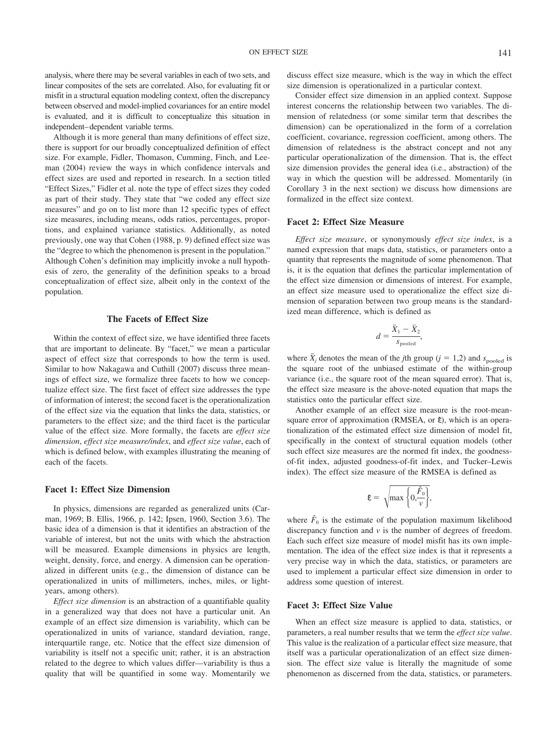analysis, where there may be several variables in each of two sets, and linear composites of the sets are correlated. Also, for evaluating fit or misfit in a structural equation modeling context, often the discrepancy between observed and model-implied covariances for an entire model is evaluated, and it is difficult to conceptualize this situation in independent– dependent variable terms.

Although it is more general than many definitions of effect size, there is support for our broadly conceptualized definition of effect size. For example, Fidler, Thomason, Cumming, Finch, and Leeman (2004) review the ways in which confidence intervals and effect sizes are used and reported in research. In a section titled "Effect Sizes," Fidler et al. note the type of effect sizes they coded as part of their study. They state that "we coded any effect size measures" and go on to list more than 12 specific types of effect size measures, including means, odds ratios, percentages, proportions, and explained variance statistics. Additionally, as noted previously, one way that Cohen (1988, p. 9) defined effect size was the "degree to which the phenomenon is present in the population." Although Cohen's definition may implicitly invoke a null hypothesis of zero, the generality of the definition speaks to a broad conceptualization of effect size, albeit only in the context of the population.

#### **The Facets of Effect Size**

Within the context of effect size, we have identified three facets that are important to delineate. By "facet," we mean a particular aspect of effect size that corresponds to how the term is used. Similar to how Nakagawa and Cuthill (2007) discuss three meanings of effect size, we formalize three facets to how we conceptualize effect size. The first facet of effect size addresses the type of information of interest; the second facet is the operationalization of the effect size via the equation that links the data, statistics, or parameters to the effect size; and the third facet is the particular value of the effect size. More formally, the facets are *effect size dimension*, *effect size measure/index*, and *effect size value*, each of which is defined below, with examples illustrating the meaning of each of the facets.

## **Facet 1: Effect Size Dimension**

In physics, dimensions are regarded as generalized units (Carman, 1969; B. Ellis, 1966, p. 142; Ipsen, 1960, Section 3.6). The basic idea of a dimension is that it identifies an abstraction of the variable of interest, but not the units with which the abstraction will be measured. Example dimensions in physics are length, weight, density, force, and energy. A dimension can be operationalized in different units (e.g., the dimension of distance can be operationalized in units of millimeters, inches, miles, or lightyears, among others).

*Effect size dimension* is an abstraction of a quantifiable quality in a generalized way that does not have a particular unit. An example of an effect size dimension is variability, which can be operationalized in units of variance, standard deviation, range, interquartile range, etc. Notice that the effect size dimension of variability is itself not a specific unit; rather, it is an abstraction related to the degree to which values differ—variability is thus a quality that will be quantified in some way. Momentarily we

discuss effect size measure, which is the way in which the effect size dimension is operationalized in a particular context.

Consider effect size dimension in an applied context. Suppose interest concerns the relationship between two variables. The dimension of relatedness (or some similar term that describes the dimension) can be operationalized in the form of a correlation coefficient, covariance, regression coefficient, among others. The dimension of relatedness is the abstract concept and not any particular operationalization of the dimension. That is, the effect size dimension provides the general idea (i.e., abstraction) of the way in which the question will be addressed. Momentarily (in Corollary 3 in the next section) we discuss how dimensions are formalized in the effect size context.

#### **Facet 2: Effect Size Measure**

*Effect size measure*, or synonymously *effect size index*, is a named expression that maps data, statistics, or parameters onto a quantity that represents the magnitude of some phenomenon. That is, it is the equation that defines the particular implementation of the effect size dimension or dimensions of interest. For example, an effect size measure used to operationalize the effect size dimension of separation between two group means is the standardized mean difference, which is defined as

$$
d = \frac{\bar{X}_1 - \bar{X}_2}{s_{\text{pooled}}},
$$

where  $\bar{X}_i$  denotes the mean of the *j*th group (*j* = 1,2) and  $s_{\text{pooled}}$  is the square root of the unbiased estimate of the within-group variance (i.e., the square root of the mean squared error). That is, the effect size measure is the above-noted equation that maps the statistics onto the particular effect size.

Another example of an effect size measure is the root-meansquare error of approximation (RMSEA, or  $\hat{\epsilon}$ ), which is an operationalization of the estimated effect size dimension of model fit, specifically in the context of structural equation models (other such effect size measures are the normed fit index, the goodnessof-fit index, adjusted goodness-of-fit index, and Tucker–Lewis index). The effect size measure of the RMSEA is defined as

$$
\hat{\epsilon} = \sqrt{\max \left\{0, \frac{\hat{F}_0}{\nu}\right\}},
$$

where  $\hat{F}_0$  is the estimate of the population maximum likelihood discrepancy function and *v* is the number of degrees of freedom. Each such effect size measure of model misfit has its own implementation. The idea of the effect size index is that it represents a very precise way in which the data, statistics, or parameters are used to implement a particular effect size dimension in order to address some question of interest.

## **Facet 3: Effect Size Value**

When an effect size measure is applied to data, statistics, or parameters, a real number results that we term the *effect size value*. This value is the realization of a particular effect size measure, that itself was a particular operationalization of an effect size dimension. The effect size value is literally the magnitude of some phenomenon as discerned from the data, statistics, or parameters.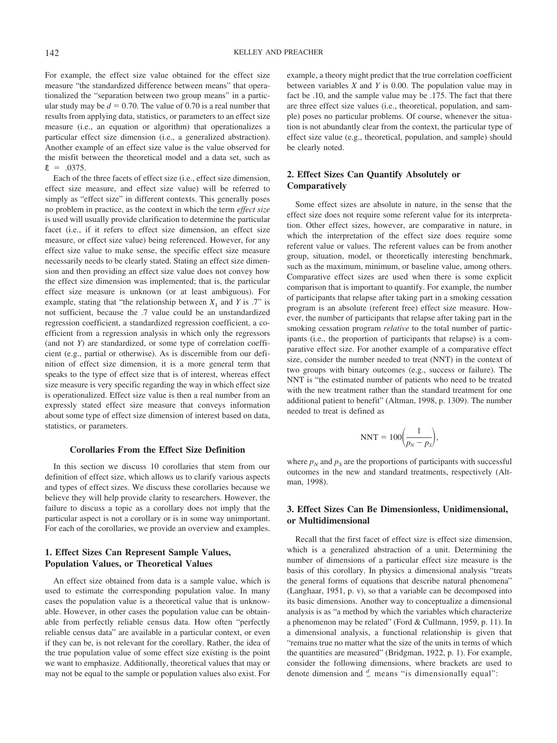For example, the effect size value obtained for the effect size measure "the standardized difference between means" that operationalized the "separation between two group means" in a particular study may be  $d = 0.70$ . The value of 0.70 is a real number that results from applying data, statistics, or parameters to an effect size measure (i.e., an equation or algorithm) that operationalizes a particular effect size dimension (i.e., a generalized abstraction). Another example of an effect size value is the value observed for the misfit between the theoretical model and a data set, such as  $\hat{\epsilon} = .0375.$ 

Each of the three facets of effect size (i.e., effect size dimension, effect size measure, and effect size value) will be referred to simply as "effect size" in different contexts. This generally poses no problem in practice, as the context in which the term *effect size* is used will usually provide clarification to determine the particular facet (i.e., if it refers to effect size dimension, an effect size measure, or effect size value) being referenced. However, for any effect size value to make sense, the specific effect size measure necessarily needs to be clearly stated. Stating an effect size dimension and then providing an effect size value does not convey how the effect size dimension was implemented; that is, the particular effect size measure is unknown (or at least ambiguous). For example, stating that "the relationship between  $X_1$  and  $Y$  is .7" is not sufficient, because the .7 value could be an unstandardized regression coefficient, a standardized regression coefficient, a coefficient from a regression analysis in which only the regressors (and not *Y*) are standardized, or some type of correlation coefficient (e.g., partial or otherwise). As is discernible from our definition of effect size dimension, it is a more general term that speaks to the type of effect size that is of interest, whereas effect size measure is very specific regarding the way in which effect size is operationalized. Effect size value is then a real number from an expressly stated effect size measure that conveys information about some type of effect size dimension of interest based on data, statistics, or parameters.

#### **Corollaries From the Effect Size Definition**

In this section we discuss 10 corollaries that stem from our definition of effect size, which allows us to clarify various aspects and types of effect sizes. We discuss these corollaries because we believe they will help provide clarity to researchers. However, the failure to discuss a topic as a corollary does not imply that the particular aspect is not a corollary or is in some way unimportant. For each of the corollaries, we provide an overview and examples.

## **1. Effect Sizes Can Represent Sample Values, Population Values, or Theoretical Values**

An effect size obtained from data is a sample value, which is used to estimate the corresponding population value. In many cases the population value is a theoretical value that is unknowable. However, in other cases the population value can be obtainable from perfectly reliable census data. How often "perfectly reliable census data" are available in a particular context, or even if they can be, is not relevant for the corollary. Rather, the idea of the true population value of some effect size existing is the point we want to emphasize. Additionally, theoretical values that may or may not be equal to the sample or population values also exist. For example, a theory might predict that the true correlation coefficient between variables *X* and *Y* is 0.00. The population value may in fact be .10, and the sample value may be .175. The fact that there are three effect size values (i.e., theoretical, population, and sample) poses no particular problems. Of course, whenever the situation is not abundantly clear from the context, the particular type of effect size value (e.g., theoretical, population, and sample) should be clearly noted.

# **2. Effect Sizes Can Quantify Absolutely or Comparatively**

Some effect sizes are absolute in nature, in the sense that the effect size does not require some referent value for its interpretation. Other effect sizes, however, are comparative in nature, in which the interpretation of the effect size does require some referent value or values. The referent values can be from another group, situation, model, or theoretically interesting benchmark, such as the maximum, minimum, or baseline value, among others. Comparative effect sizes are used when there is some explicit comparison that is important to quantify. For example, the number of participants that relapse after taking part in a smoking cessation program is an absolute (referent free) effect size measure. However, the number of participants that relapse after taking part in the smoking cessation program *relative* to the total number of participants (i.e., the proportion of participants that relapse) is a comparative effect size. For another example of a comparative effect size, consider the number needed to treat (NNT) in the context of two groups with binary outcomes (e.g., success or failure). The NNT is "the estimated number of patients who need to be treated with the new treatment rather than the standard treatment for one additional patient to benefit" (Altman, 1998, p. 1309). The number needed to treat is defined as

$$
NNT = 100 \bigg( \frac{1}{p_N - p_S} \bigg),
$$

where  $p_N$  and  $p_S$  are the proportions of participants with successful outcomes in the new and standard treatments, respectively (Altman, 1998).

## **3. Effect Sizes Can Be Dimensionless, Unidimensional, or Multidimensional**

Recall that the first facet of effect size is effect size dimension, which is a generalized abstraction of a unit. Determining the number of dimensions of a particular effect size measure is the basis of this corollary. In physics a dimensional analysis "treats the general forms of equations that describe natural phenomena" (Langhaar, 1951, p. v), so that a variable can be decomposed into its basic dimensions. Another way to conceptualize a dimensional analysis is as "a method by which the variables which characterize a phenomenon may be related" (Ford & Cullmann, 1959, p. 11). In a dimensional analysis, a functional relationship is given that "remains true no matter what the size of the units in terms of which the quantities are measured" (Bridgman, 1922, p. 1). For example, consider the following dimensions, where brackets are used to denote dimension and  $\frac{d}{n}$  means "is dimensionally equal":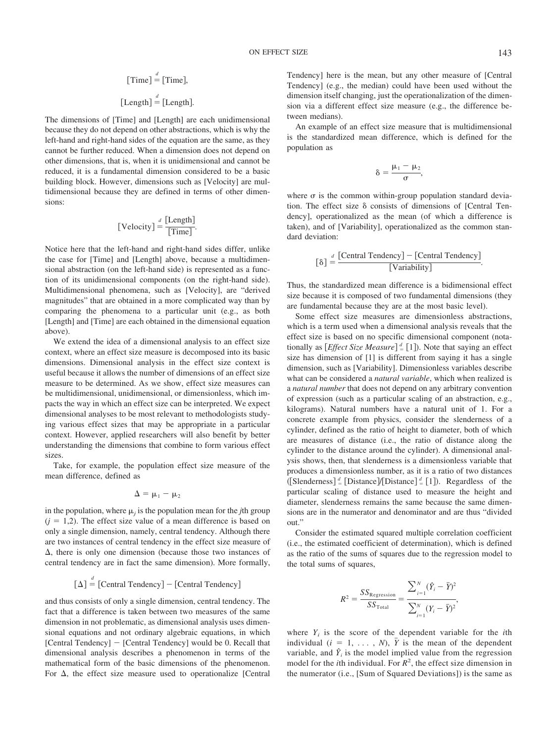-Time *d* -Time, -Length *d* -Length.

The dimensions of [Time] and [Length] are each unidimensional because they do not depend on other abstractions, which is why the left-hand and right-hand sides of the equation are the same, as they cannot be further reduced. When a dimension does not depend on other dimensions, that is, when it is unidimensional and cannot be reduced, it is a fundamental dimension considered to be a basic building block. However, dimensions such as [Velocity] are multidimensional because they are defined in terms of other dimensions:

$$
[\text{Velocity}] = \frac{\text{Length}}{\text{[Time]}}.
$$

Notice here that the left-hand and right-hand sides differ, unlike the case for [Time] and [Length] above, because a multidimensional abstraction (on the left-hand side) is represented as a function of its unidimensional components (on the right-hand side). Multidimensional phenomena, such as [Velocity], are "derived magnitudes" that are obtained in a more complicated way than by comparing the phenomena to a particular unit (e.g., as both [Length] and [Time] are each obtained in the dimensional equation above).

We extend the idea of a dimensional analysis to an effect size context, where an effect size measure is decomposed into its basic dimensions. Dimensional analysis in the effect size context is useful because it allows the number of dimensions of an effect size measure to be determined. As we show, effect size measures can be multidimensional, unidimensional, or dimensionless, which impacts the way in which an effect size can be interpreted. We expect dimensional analyses to be most relevant to methodologists studying various effect sizes that may be appropriate in a particular context. However, applied researchers will also benefit by better understanding the dimensions that combine to form various effect sizes.

Take, for example, the population effect size measure of the mean difference, defined as

$$
\Delta=\mu_1-\mu_2
$$

in the population, where  $\mu_j$  is the population mean for the *j*th group  $(j = 1,2)$ . The effect size value of a mean difference is based on only a single dimension, namely, central tendency. Although there are two instances of central tendency in the effect size measure of  $\Delta$ , there is only one dimension (because those two instances of central tendency are in fact the same dimension). More formally,

$$
[\Delta] \stackrel{d}{=} [\text{Central Tendency}] - [\text{Central Tendency}]
$$

and thus consists of only a single dimension, central tendency. The fact that a difference is taken between two measures of the same dimension in not problematic, as dimensional analysis uses dimensional equations and not ordinary algebraic equations, in which [Central Tendency]  $-$  [Central Tendency] would be 0. Recall that dimensional analysis describes a phenomenon in terms of the mathematical form of the basic dimensions of the phenomenon. For  $\Delta$ , the effect size measure used to operationalize [Central] Tendency] here is the mean, but any other measure of [Central Tendency] (e.g., the median) could have been used without the dimension itself changing, just the operationalization of the dimension via a different effect size measure (e.g., the difference between medians).

An example of an effect size measure that is multidimensional is the standardized mean difference, which is defined for the population as

$$
\delta=\frac{\mu_1-\mu_2}{\sigma},
$$

where  $\sigma$  is the common within-group population standard deviation. The effect size  $\delta$  consists of dimensions of [Central Tendency], operationalized as the mean (of which a difference is taken), and of [Variability], operationalized as the common standard deviation:

$$
\[\delta\] \stackrel{d}{=} \frac{\text{[Central Tendency]} - \text{[Central Tendency]}}{\text{[Variability]}}.
$$

Thus, the standardized mean difference is a bidimensional effect size because it is composed of two fundamental dimensions (they are fundamental because they are at the most basic level).

Some effect size measures are dimensionless abstractions, which is a term used when a dimensional analysis reveals that the effect size is based on no specific dimensional component (notationally as  $[Effect Size Measure] \stackrel{d}{=} [1]$ ). Note that saying an effect size has dimension of [1] is different from saying it has a single dimension, such as [Variability]. Dimensionless variables describe what can be considered a *natural variable*, which when realized is a *natural number* that does not depend on any arbitrary convention of expression (such as a particular scaling of an abstraction, e.g., kilograms). Natural numbers have a natural unit of 1. For a concrete example from physics, consider the slenderness of a cylinder, defined as the ratio of height to diameter, both of which are measures of distance (i.e., the ratio of distance along the cylinder to the distance around the cylinder). A dimensional analysis shows, then, that slenderness is a dimensionless variable that produces a dimensionless number, as it is a ratio of two distances  $(\text{Slenderness}) \triangleq {\text{Distance}}/[\text{Distance}] \triangleq {\text{[1]}}$ . Regardless of the particular scaling of distance used to measure the height and diameter, slenderness remains the same because the same dimensions are in the numerator and denominator and are thus "divided out."

Consider the estimated squared multiple correlation coefficient (i.e., the estimated coefficient of determination), which is defined as the ratio of the sums of squares due to the regression model to the total sums of squares,

$$
R^{2} = \frac{SS_{\text{Regression}}}{SS_{\text{Total}}} = \frac{\sum_{i=1}^{N} (\hat{Y}_{i} - \bar{Y})^{2}}{\sum_{i=1}^{N} (Y_{i} - \bar{Y})^{2}},
$$

where  $Y_i$  is the score of the dependent variable for the *i*th individual  $(i = 1, \ldots, N)$ ,  $\overline{Y}$  is the mean of the dependent variable, and  $\hat{Y}_i$  is the model implied value from the regression model for the *i*th individual. For  $R^2$ , the effect size dimension in the numerator (i.e., [Sum of Squared Deviations]) is the same as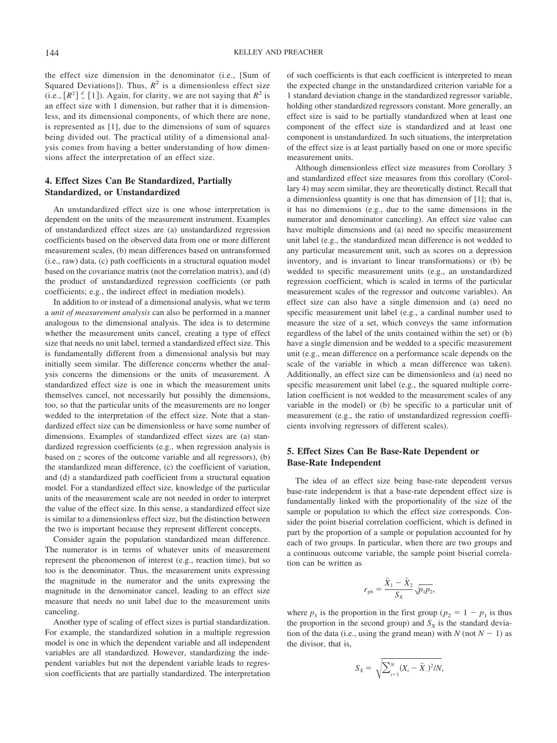the effect size dimension in the denominator (i.e., [Sum of Squared Deviations]). Thus,  $R^2$  is a dimensionless effect size  $(i.e., [R^2] \stackrel{d}{=} [1])$ . Again, for clarity, we are not saying that  $R^2$  is an effect size with 1 dimension, but rather that it is dimensionless, and its dimensional components, of which there are none, is represented as [1], due to the dimensions of sum of squares being divided out. The practical utility of a dimensional analysis comes from having a better understanding of how dimensions affect the interpretation of an effect size.

# **4. Effect Sizes Can Be Standardized, Partially Standardized, or Unstandardized**

An unstandardized effect size is one whose interpretation is dependent on the units of the measurement instrument. Examples of unstandardized effect sizes are (a) unstandardized regression coefficients based on the observed data from one or more different measurement scales, (b) mean differences based on untransformed (i.e., raw) data, (c) path coefficients in a structural equation model based on the covariance matrix (not the correlation matrix), and (d) the product of unstandardized regression coefficients (or path coefficients; e.g., the indirect effect in mediation models).

In addition to or instead of a dimensional analysis, what we term a *unit of measurement analysis* can also be performed in a manner analogous to the dimensional analysis. The idea is to determine whether the measurement units cancel, creating a type of effect size that needs no unit label, termed a standardized effect size. This is fundamentally different from a dimensional analysis but may initially seem similar. The difference concerns whether the analysis concerns the dimensions or the units of measurement. A standardized effect size is one in which the measurement units themselves cancel, not necessarily but possibly the dimensions, too, so that the particular units of the measurements are no longer wedded to the interpretation of the effect size. Note that a standardized effect size can be dimensionless or have some number of dimensions. Examples of standardized effect sizes are (a) standardized regression coefficients (e.g., when regression analysis is based on *z* scores of the outcome variable and all regressors), (b) the standardized mean difference, (c) the coefficient of variation, and (d) a standardized path coefficient from a structural equation model. For a standardized effect size, knowledge of the particular units of the measurement scale are not needed in order to interpret the value of the effect size. In this sense, a standardized effect size is similar to a dimensionless effect size, but the distinction between the two is important because they represent different concepts.

Consider again the population standardized mean difference. The numerator is in terms of whatever units of measurement represent the phenomenon of interest (e.g., reaction time), but so too is the denominator. Thus, the measurement units expressing the magnitude in the numerator and the units expressing the magnitude in the denominator cancel, leading to an effect size measure that needs no unit label due to the measurement units canceling.

Another type of scaling of effect sizes is partial standardization. For example, the standardized solution in a multiple regression model is one in which the dependent variable and all independent variables are all standardized. However, standardizing the independent variables but not the dependent variable leads to regression coefficients that are partially standardized. The interpretation

of such coefficients is that each coefficient is interpreted to mean the expected change in the unstandardized criterion variable for a 1 standard deviation change in the standardized regressor variable, holding other standardized regressors constant. More generally, an effect size is said to be partially standardized when at least one component of the effect size is standardized and at least one component is unstandardized. In such situations, the interpretation of the effect size is at least partially based on one or more specific measurement units.

Although dimensionless effect size measures from Corollary 3 and standardized effect size measures from this corollary (Corollary 4) may seem similar, they are theoretically distinct. Recall that a dimensionless quantity is one that has dimension of [1]; that is, it has no dimensions (e.g., due to the same dimensions in the numerator and denominator canceling). An effect size value can have multiple dimensions and (a) need no specific measurement unit label (e.g., the standardized mean difference is not wedded to any particular measurement unit, such as scores on a depression inventory, and is invariant to linear transformations) or (b) be wedded to specific measurement units (e.g., an unstandardized regression coefficient, which is scaled in terms of the particular measurement scales of the regressor and outcome variables). An effect size can also have a single dimension and (a) need no specific measurement unit label (e.g., a cardinal number used to measure the size of a set, which conveys the same information regardless of the label of the units contained within the set) or (b) have a single dimension and be wedded to a specific measurement unit (e.g., mean difference on a performance scale depends on the scale of the variable in which a mean difference was taken). Additionally, an effect size can be dimensionless and (a) need no specific measurement unit label (e.g., the squared multiple correlation coefficient is not wedded to the measurement scales of any variable in the model) or (b) be specific to a particular unit of measurement (e.g., the ratio of unstandardized regression coefficients involving regressors of different scales).

# **5. Effect Sizes Can Be Base-Rate Dependent or Base-Rate Independent**

The idea of an effect size being base-rate dependent versus base-rate independent is that a base-rate dependent effect size is fundamentally linked with the proportionality of the size of the sample or population to which the effect size corresponds. Consider the point biserial correlation coefficient, which is defined in part by the proportion of a sample or population accounted for by each of two groups. In particular, when there are two groups and a continuous outcome variable, the sample point biserial correlation can be written as

$$
r_{\rm pb} = \frac{\bar{X}_1 - \bar{X}_2}{S_X} \sqrt{p_1 p_2},
$$

where  $p_1$  is the proportion in the first group ( $p_2 = 1 - p_1$  is thus the proportion in the second group) and  $S_X$  is the standard deviation of the data (i.e., using the grand mean) with  $N$  (not  $N - 1$ ) as the divisor, that is,

$$
S_X = \sqrt{\sum_{i=1}^{N} (X_i - \bar{X}_{..})^2 / N},
$$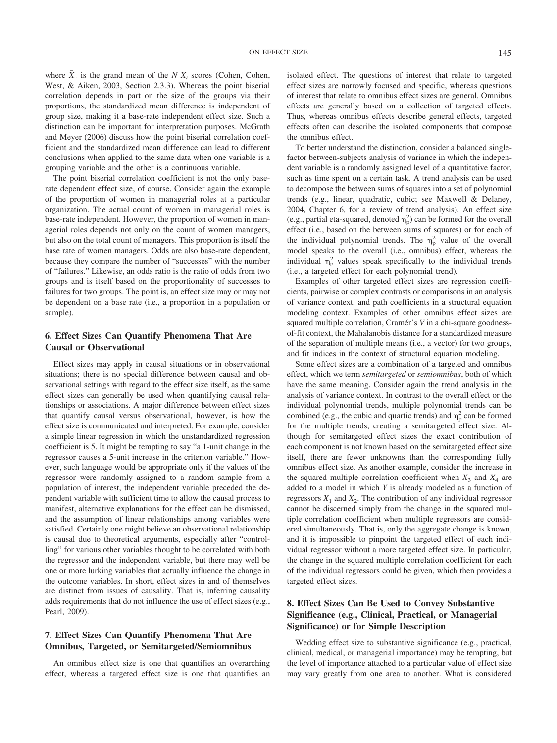where  $\overline{X}$  is the grand mean of the *N X<sub>i</sub>* scores (Cohen, Cohen, West, & Aiken, 2003, Section 2.3.3). Whereas the point biserial correlation depends in part on the size of the groups via their proportions, the standardized mean difference is independent of group size, making it a base-rate independent effect size. Such a distinction can be important for interpretation purposes. McGrath and Meyer (2006) discuss how the point biserial correlation coefficient and the standardized mean difference can lead to different conclusions when applied to the same data when one variable is a grouping variable and the other is a continuous variable.

The point biserial correlation coefficient is not the only baserate dependent effect size, of course. Consider again the example of the proportion of women in managerial roles at a particular organization. The actual count of women in managerial roles is base-rate independent. However, the proportion of women in managerial roles depends not only on the count of women managers, but also on the total count of managers. This proportion is itself the base rate of women managers. Odds are also base-rate dependent, because they compare the number of "successes" with the number of "failures." Likewise, an odds ratio is the ratio of odds from two groups and is itself based on the proportionality of successes to failures for two groups. The point is, an effect size may or may not be dependent on a base rate (i.e., a proportion in a population or sample).

# **6. Effect Sizes Can Quantify Phenomena That Are Causal or Observational**

Effect sizes may apply in causal situations or in observational situations; there is no special difference between causal and observational settings with regard to the effect size itself, as the same effect sizes can generally be used when quantifying causal relationships or associations. A major difference between effect sizes that quantify causal versus observational, however, is how the effect size is communicated and interpreted. For example, consider a simple linear regression in which the unstandardized regression coefficient is 5. It might be tempting to say "a 1-unit change in the regressor causes a 5-unit increase in the criterion variable." However, such language would be appropriate only if the values of the regressor were randomly assigned to a random sample from a population of interest, the independent variable preceded the dependent variable with sufficient time to allow the causal process to manifest, alternative explanations for the effect can be dismissed, and the assumption of linear relationships among variables were satisfied. Certainly one might believe an observational relationship is causal due to theoretical arguments, especially after "controlling" for various other variables thought to be correlated with both the regressor and the independent variable, but there may well be one or more lurking variables that actually influence the change in the outcome variables. In short, effect sizes in and of themselves are distinct from issues of causality. That is, inferring causality adds requirements that do not influence the use of effect sizes (e.g., Pearl, 2009).

# **7. Effect Sizes Can Quantify Phenomena That Are Omnibus, Targeted, or Semitargeted/Semiomnibus**

An omnibus effect size is one that quantifies an overarching effect, whereas a targeted effect size is one that quantifies an isolated effect. The questions of interest that relate to targeted effect sizes are narrowly focused and specific, whereas questions of interest that relate to omnibus effect sizes are general. Omnibus effects are generally based on a collection of targeted effects. Thus, whereas omnibus effects describe general effects, targeted effects often can describe the isolated components that compose the omnibus effect.

To better understand the distinction, consider a balanced singlefactor between-subjects analysis of variance in which the independent variable is a randomly assigned level of a quantitative factor, such as time spent on a certain task. A trend analysis can be used to decompose the between sums of squares into a set of polynomial trends (e.g., linear, quadratic, cubic; see Maxwell & Delaney, 2004, Chapter 6, for a review of trend analysis). An effect size (e.g., partial eta-squared, denoted  $\eta_p^2$ ) can be formed for the overall effect (i.e., based on the between sums of squares) or for each of the individual polynomial trends. The  $\eta_p^2$  value of the overall model speaks to the overall (i.e., omnibus) effect, whereas the individual  $\eta_p^2$  values speak specifically to the individual trends (i.e., a targeted effect for each polynomial trend).

Examples of other targeted effect sizes are regression coefficients, pairwise or complex contrasts or comparisons in an analysis of variance context, and path coefficients in a structural equation modeling context. Examples of other omnibus effect sizes are squared multiple correlation, Cramér's *V* in a chi-square goodnessof-fit context, the Mahalanobis distance for a standardized measure of the separation of multiple means (i.e., a vector) for two groups, and fit indices in the context of structural equation modeling.

Some effect sizes are a combination of a targeted and omnibus effect, which we term *semitargeted* or *semiomnibus*, both of which have the same meaning. Consider again the trend analysis in the analysis of variance context. In contrast to the overall effect or the individual polynomial trends, multiple polynomial trends can be combined (e.g., the cubic and quartic trends) and  $\eta_{\rm p}^2$  can be formed for the multiple trends, creating a semitargeted effect size. Although for semitargeted effect sizes the exact contribution of each component is not known based on the semitargeted effect size itself, there are fewer unknowns than the corresponding fully omnibus effect size. As another example, consider the increase in the squared multiple correlation coefficient when  $X_3$  and  $X_4$  are added to a model in which *Y* is already modeled as a function of regressors  $X_1$  and  $X_2$ . The contribution of any individual regressor cannot be discerned simply from the change in the squared multiple correlation coefficient when multiple regressors are considered simultaneously. That is, only the aggregate change is known, and it is impossible to pinpoint the targeted effect of each individual regressor without a more targeted effect size. In particular, the change in the squared multiple correlation coefficient for each of the individual regressors could be given, which then provides a targeted effect sizes.

# **8. Effect Sizes Can Be Used to Convey Substantive Significance (e.g., Clinical, Practical, or Managerial Significance) or for Simple Description**

Wedding effect size to substantive significance (e.g., practical, clinical, medical, or managerial importance) may be tempting, but the level of importance attached to a particular value of effect size may vary greatly from one area to another. What is considered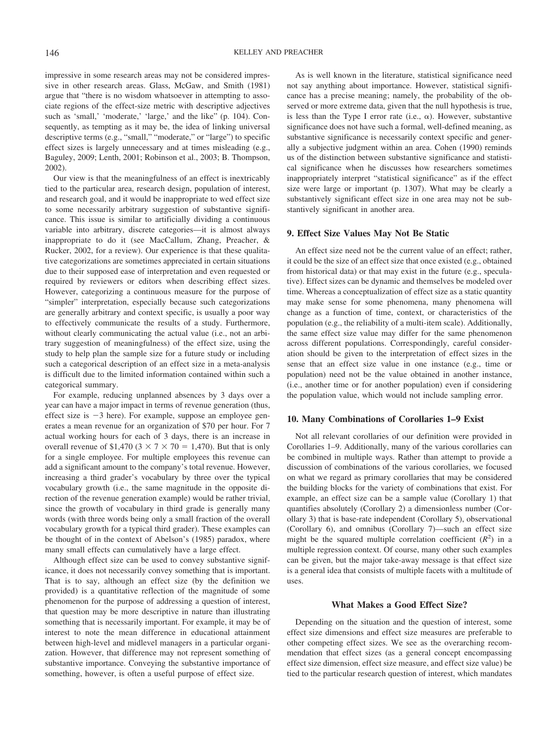impressive in some research areas may not be considered impressive in other research areas. Glass, McGaw, and Smith (1981) argue that "there is no wisdom whatsoever in attempting to associate regions of the effect-size metric with descriptive adjectives such as 'small,' 'moderate,' 'large,' and the like" (p. 104). Consequently, as tempting as it may be, the idea of linking universal descriptive terms (e.g., "small," "moderate," or "large") to specific effect sizes is largely unnecessary and at times misleading (e.g., Baguley, 2009; Lenth, 2001; Robinson et al., 2003; B. Thompson, 2002).

Our view is that the meaningfulness of an effect is inextricably tied to the particular area, research design, population of interest, and research goal, and it would be inappropriate to wed effect size to some necessarily arbitrary suggestion of substantive significance. This issue is similar to artificially dividing a continuous variable into arbitrary, discrete categories—it is almost always inappropriate to do it (see MacCallum, Zhang, Preacher, & Rucker, 2002, for a review). Our experience is that these qualitative categorizations are sometimes appreciated in certain situations due to their supposed ease of interpretation and even requested or required by reviewers or editors when describing effect sizes. However, categorizing a continuous measure for the purpose of "simpler" interpretation, especially because such categorizations are generally arbitrary and context specific, is usually a poor way to effectively communicate the results of a study. Furthermore, without clearly communicating the actual value (i.e., not an arbitrary suggestion of meaningfulness) of the effect size, using the study to help plan the sample size for a future study or including such a categorical description of an effect size in a meta-analysis is difficult due to the limited information contained within such a categorical summary.

For example, reducing unplanned absences by 3 days over a year can have a major impact in terms of revenue generation (thus, effect size is  $-3$  here). For example, suppose an employee generates a mean revenue for an organization of \$70 per hour. For 7 actual working hours for each of 3 days, there is an increase in overall revenue of \$1,470 ( $3 \times 7 \times 70 = 1,470$ ). But that is only for a single employee. For multiple employees this revenue can add a significant amount to the company's total revenue. However, increasing a third grader's vocabulary by three over the typical vocabulary growth (i.e., the same magnitude in the opposite direction of the revenue generation example) would be rather trivial, since the growth of vocabulary in third grade is generally many words (with three words being only a small fraction of the overall vocabulary growth for a typical third grader). These examples can be thought of in the context of Abelson's (1985) paradox, where many small effects can cumulatively have a large effect.

Although effect size can be used to convey substantive significance, it does not necessarily convey something that is important. That is to say, although an effect size (by the definition we provided) is a quantitative reflection of the magnitude of some phenomenon for the purpose of addressing a question of interest, that question may be more descriptive in nature than illustrating something that is necessarily important. For example, it may be of interest to note the mean difference in educational attainment between high-level and midlevel managers in a particular organization. However, that difference may not represent something of substantive importance. Conveying the substantive importance of something, however, is often a useful purpose of effect size.

As is well known in the literature, statistical significance need not say anything about importance. However, statistical significance has a precise meaning; namely, the probability of the observed or more extreme data, given that the null hypothesis is true, is less than the Type I error rate (i.e.,  $\alpha$ ). However, substantive significance does not have such a formal, well-defined meaning, as substantive significance is necessarily context specific and generally a subjective judgment within an area. Cohen (1990) reminds us of the distinction between substantive significance and statistical significance when he discusses how researchers sometimes inappropriately interpret "statistical significance" as if the effect size were large or important (p. 1307). What may be clearly a substantively significant effect size in one area may not be substantively significant in another area.

#### **9. Effect Size Values May Not Be Static**

An effect size need not be the current value of an effect; rather, it could be the size of an effect size that once existed (e.g., obtained from historical data) or that may exist in the future (e.g., speculative). Effect sizes can be dynamic and themselves be modeled over time. Whereas a conceptualization of effect size as a static quantity may make sense for some phenomena, many phenomena will change as a function of time, context, or characteristics of the population (e.g., the reliability of a multi-item scale). Additionally, the same effect size value may differ for the same phenomenon across different populations. Correspondingly, careful consideration should be given to the interpretation of effect sizes in the sense that an effect size value in one instance (e.g., time or population) need not be the value obtained in another instance, (i.e., another time or for another population) even if considering the population value, which would not include sampling error.

## **10. Many Combinations of Corollaries 1–9 Exist**

Not all relevant corollaries of our definition were provided in Corollaries 1–9. Additionally, many of the various corollaries can be combined in multiple ways. Rather than attempt to provide a discussion of combinations of the various corollaries, we focused on what we regard as primary corollaries that may be considered the building blocks for the variety of combinations that exist. For example, an effect size can be a sample value (Corollary 1) that quantifies absolutely (Corollary 2) a dimensionless number (Corollary 3) that is base-rate independent (Corollary 5), observational (Corollary 6), and omnibus (Corollary 7)—such an effect size might be the squared multiple correlation coefficient  $(R^2)$  in a multiple regression context. Of course, many other such examples can be given, but the major take-away message is that effect size is a general idea that consists of multiple facets with a multitude of uses.

## **What Makes a Good Effect Size?**

Depending on the situation and the question of interest, some effect size dimensions and effect size measures are preferable to other competing effect sizes. We see as the overarching recommendation that effect sizes (as a general concept encompassing effect size dimension, effect size measure, and effect size value) be tied to the particular research question of interest, which mandates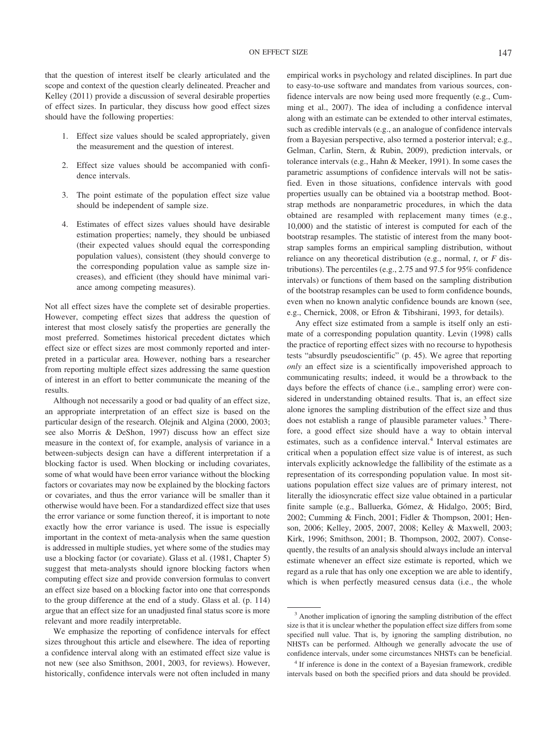that the question of interest itself be clearly articulated and the scope and context of the question clearly delineated. Preacher and Kelley (2011) provide a discussion of several desirable properties of effect sizes. In particular, they discuss how good effect sizes should have the following properties:

- 1. Effect size values should be scaled appropriately, given the measurement and the question of interest.
- 2. Effect size values should be accompanied with confidence intervals.
- 3. The point estimate of the population effect size value should be independent of sample size.
- 4. Estimates of effect sizes values should have desirable estimation properties; namely, they should be unbiased (their expected values should equal the corresponding population values), consistent (they should converge to the corresponding population value as sample size increases), and efficient (they should have minimal variance among competing measures).

Not all effect sizes have the complete set of desirable properties. However, competing effect sizes that address the question of interest that most closely satisfy the properties are generally the most preferred. Sometimes historical precedent dictates which effect size or effect sizes are most commonly reported and interpreted in a particular area. However, nothing bars a researcher from reporting multiple effect sizes addressing the same question of interest in an effort to better communicate the meaning of the results.

Although not necessarily a good or bad quality of an effect size, an appropriate interpretation of an effect size is based on the particular design of the research. Olejnik and Algina (2000, 2003; see also Morris & DeShon, 1997) discuss how an effect size measure in the context of, for example, analysis of variance in a between-subjects design can have a different interpretation if a blocking factor is used. When blocking or including covariates, some of what would have been error variance without the blocking factors or covariates may now be explained by the blocking factors or covariates, and thus the error variance will be smaller than it otherwise would have been. For a standardized effect size that uses the error variance or some function thereof, it is important to note exactly how the error variance is used. The issue is especially important in the context of meta-analysis when the same question is addressed in multiple studies, yet where some of the studies may use a blocking factor (or covariate). Glass et al. (1981, Chapter 5) suggest that meta-analysts should ignore blocking factors when computing effect size and provide conversion formulas to convert an effect size based on a blocking factor into one that corresponds to the group difference at the end of a study. Glass et al. (p. 114) argue that an effect size for an unadjusted final status score is more relevant and more readily interpretable.

empirical works in psychology and related disciplines. In part due to easy-to-use software and mandates from various sources, confidence intervals are now being used more frequently (e.g., Cumming et al., 2007). The idea of including a confidence interval along with an estimate can be extended to other interval estimates, such as credible intervals (e.g., an analogue of confidence intervals from a Bayesian perspective, also termed a posterior interval; e.g., Gelman, Carlin, Stern, & Rubin, 2009), prediction intervals, or tolerance intervals (e.g., Hahn & Meeker, 1991). In some cases the parametric assumptions of confidence intervals will not be satisfied. Even in those situations, confidence intervals with good properties usually can be obtained via a bootstrap method. Bootstrap methods are nonparametric procedures, in which the data obtained are resampled with replacement many times (e.g., 10,000) and the statistic of interest is computed for each of the bootstrap resamples. The statistic of interest from the many bootstrap samples forms an empirical sampling distribution, without reliance on any theoretical distribution (e.g., normal, *t*, or *F* distributions). The percentiles (e.g., 2.75 and 97.5 for 95% confidence intervals) or functions of them based on the sampling distribution of the bootstrap resamples can be used to form confidence bounds, even when no known analytic confidence bounds are known (see, e.g., Chernick, 2008, or Efron & Tibshirani, 1993, for details).

Any effect size estimated from a sample is itself only an estimate of a corresponding population quantity. Levin (1998) calls the practice of reporting effect sizes with no recourse to hypothesis tests "absurdly pseudoscientific" (p. 45). We agree that reporting *only* an effect size is a scientifically impoverished approach to communicating results; indeed, it would be a throwback to the days before the effects of chance (i.e., sampling error) were considered in understanding obtained results. That is, an effect size alone ignores the sampling distribution of the effect size and thus does not establish a range of plausible parameter values.<sup>3</sup> Therefore, a good effect size should have a way to obtain interval estimates, such as a confidence interval.<sup>4</sup> Interval estimates are critical when a population effect size value is of interest, as such intervals explicitly acknowledge the fallibility of the estimate as a representation of its corresponding population value. In most situations population effect size values are of primary interest, not literally the idiosyncratic effect size value obtained in a particular finite sample (e.g., Balluerka, Gómez, & Hidalgo, 2005; Bird, 2002; Cumming & Finch, 2001; Fidler & Thompson, 2001; Henson, 2006; Kelley, 2005, 2007, 2008; Kelley & Maxwell, 2003; Kirk, 1996; Smithson, 2001; B. Thompson, 2002, 2007). Consequently, the results of an analysis should always include an interval estimate whenever an effect size estimate is reported, which we regard as a rule that has only one exception we are able to identify, which is when perfectly measured census data (i.e., the whole

We emphasize the reporting of confidence intervals for effect sizes throughout this article and elsewhere. The idea of reporting a confidence interval along with an estimated effect size value is not new (see also Smithson, 2001, 2003, for reviews). However, historically, confidence intervals were not often included in many

<sup>&</sup>lt;sup>3</sup> Another implication of ignoring the sampling distribution of the effect size is that it is unclear whether the population effect size differs from some specified null value. That is, by ignoring the sampling distribution, no NHSTs can be performed. Although we generally advocate the use of confidence intervals, under some circumstances NHSTs can be beneficial.

<sup>&</sup>lt;sup>4</sup> If inference is done in the context of a Bayesian framework, credible intervals based on both the specified priors and data should be provided.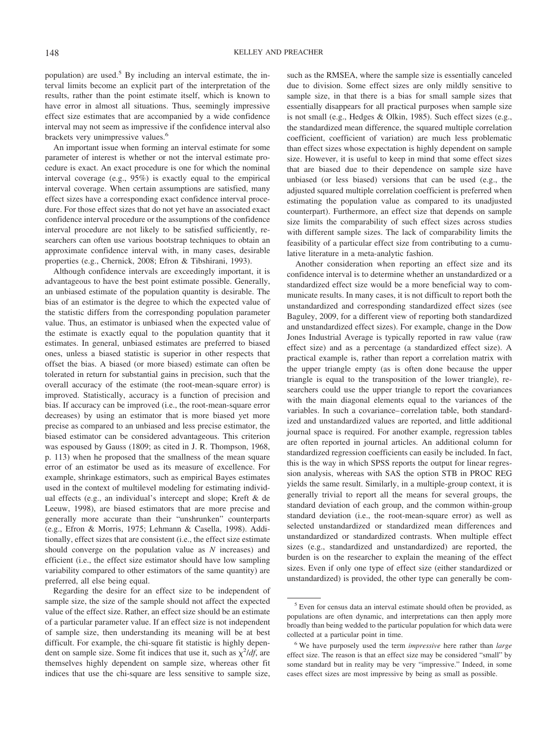population) are used.5 By including an interval estimate, the interval limits become an explicit part of the interpretation of the results, rather than the point estimate itself, which is known to have error in almost all situations. Thus, seemingly impressive effect size estimates that are accompanied by a wide confidence interval may not seem as impressive if the confidence interval also brackets very unimpressive values.<sup>6</sup>

An important issue when forming an interval estimate for some parameter of interest is whether or not the interval estimate procedure is exact. An exact procedure is one for which the nominal interval coverage (e.g., 95%) is exactly equal to the empirical interval coverage. When certain assumptions are satisfied, many effect sizes have a corresponding exact confidence interval procedure. For those effect sizes that do not yet have an associated exact confidence interval procedure or the assumptions of the confidence interval procedure are not likely to be satisfied sufficiently, researchers can often use various bootstrap techniques to obtain an approximate confidence interval with, in many cases, desirable properties (e.g., Chernick, 2008; Efron & Tibshirani, 1993).

Although confidence intervals are exceedingly important, it is advantageous to have the best point estimate possible. Generally, an unbiased estimate of the population quantity is desirable. The bias of an estimator is the degree to which the expected value of the statistic differs from the corresponding population parameter value. Thus, an estimator is unbiased when the expected value of the estimate is exactly equal to the population quantity that it estimates. In general, unbiased estimates are preferred to biased ones, unless a biased statistic is superior in other respects that offset the bias. A biased (or more biased) estimate can often be tolerated in return for substantial gains in precision, such that the overall accuracy of the estimate (the root-mean-square error) is improved. Statistically, accuracy is a function of precision and bias. If accuracy can be improved (i.e., the root-mean-square error decreases) by using an estimator that is more biased yet more precise as compared to an unbiased and less precise estimator, the biased estimator can be considered advantageous. This criterion was espoused by Gauss (1809; as cited in J. R. Thompson, 1968, p. 113) when he proposed that the smallness of the mean square error of an estimator be used as its measure of excellence. For example, shrinkage estimators, such as empirical Bayes estimates used in the context of multilevel modeling for estimating individual effects (e.g., an individual's intercept and slope; Kreft & de Leeuw, 1998), are biased estimators that are more precise and generally more accurate than their "unshrunken" counterparts (e.g., Efron & Morris, 1975; Lehmann & Casella, 1998). Additionally, effect sizes that are consistent (i.e., the effect size estimate should converge on the population value as *N* increases) and efficient (i.e., the effect size estimator should have low sampling variability compared to other estimators of the same quantity) are preferred, all else being equal.

Regarding the desire for an effect size to be independent of sample size, the size of the sample should not affect the expected value of the effect size. Rather, an effect size should be an estimate of a particular parameter value. If an effect size is not independent of sample size, then understanding its meaning will be at best difficult. For example, the chi-square fit statistic is highly dependent on sample size. Some fit indices that use it, such as  $\chi^2/df$ , are themselves highly dependent on sample size, whereas other fit indices that use the chi-square are less sensitive to sample size, such as the RMSEA, where the sample size is essentially canceled due to division. Some effect sizes are only mildly sensitive to sample size, in that there is a bias for small sample sizes that essentially disappears for all practical purposes when sample size is not small (e.g., Hedges & Olkin, 1985). Such effect sizes (e.g., the standardized mean difference, the squared multiple correlation coefficient, coefficient of variation) are much less problematic than effect sizes whose expectation is highly dependent on sample size. However, it is useful to keep in mind that some effect sizes that are biased due to their dependence on sample size have unbiased (or less biased) versions that can be used (e.g., the adjusted squared multiple correlation coefficient is preferred when estimating the population value as compared to its unadjusted counterpart). Furthermore, an effect size that depends on sample size limits the comparability of such effect sizes across studies with different sample sizes. The lack of comparability limits the feasibility of a particular effect size from contributing to a cumulative literature in a meta-analytic fashion.

Another consideration when reporting an effect size and its confidence interval is to determine whether an unstandardized or a standardized effect size would be a more beneficial way to communicate results. In many cases, it is not difficult to report both the unstandardized and corresponding standardized effect sizes (see Baguley, 2009, for a different view of reporting both standardized and unstandardized effect sizes). For example, change in the Dow Jones Industrial Average is typically reported in raw value (raw effect size) and as a percentage (a standardized effect size). A practical example is, rather than report a correlation matrix with the upper triangle empty (as is often done because the upper triangle is equal to the transposition of the lower triangle), researchers could use the upper triangle to report the covariances with the main diagonal elements equal to the variances of the variables. In such a covariance– correlation table, both standardized and unstandardized values are reported, and little additional journal space is required. For another example, regression tables are often reported in journal articles. An additional column for standardized regression coefficients can easily be included. In fact, this is the way in which SPSS reports the output for linear regression analysis, whereas with SAS the option STB in PROC REG yields the same result. Similarly, in a multiple-group context, it is generally trivial to report all the means for several groups, the standard deviation of each group, and the common within-group standard deviation (i.e., the root-mean-square error) as well as selected unstandardized or standardized mean differences and unstandardized or standardized contrasts. When multiple effect sizes (e.g., standardized and unstandardized) are reported, the burden is on the researcher to explain the meaning of the effect sizes. Even if only one type of effect size (either standardized or unstandardized) is provided, the other type can generally be com-

<sup>5</sup> Even for census data an interval estimate should often be provided, as populations are often dynamic, and interpretations can then apply more broadly than being wedded to the particular population for which data were collected at a particular point in time.

<sup>6</sup> We have purposely used the term *impressive* here rather than *large* effect size. The reason is that an effect size may be considered "small" by some standard but in reality may be very "impressive." Indeed, in some cases effect sizes are most impressive by being as small as possible.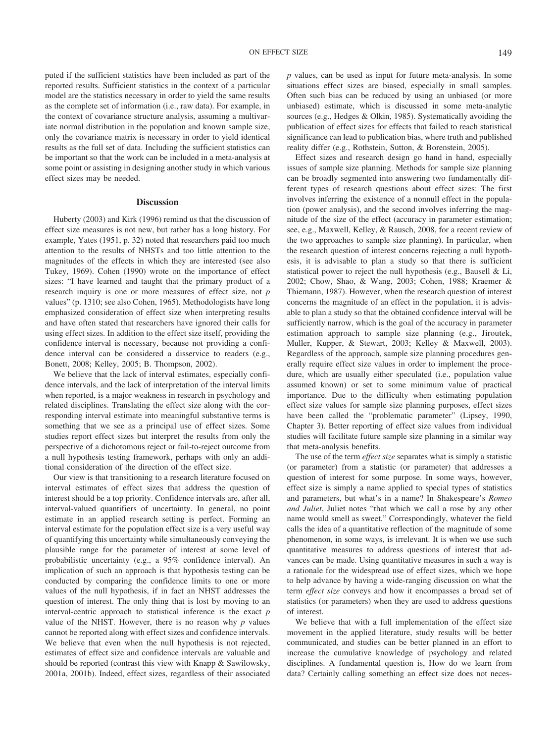puted if the sufficient statistics have been included as part of the reported results. Sufficient statistics in the context of a particular model are the statistics necessary in order to yield the same results as the complete set of information (i.e., raw data). For example, in the context of covariance structure analysis, assuming a multivariate normal distribution in the population and known sample size, only the covariance matrix is necessary in order to yield identical results as the full set of data. Including the sufficient statistics can be important so that the work can be included in a meta-analysis at some point or assisting in designing another study in which various effect sizes may be needed.

## **Discussion**

Huberty (2003) and Kirk (1996) remind us that the discussion of effect size measures is not new, but rather has a long history. For example, Yates (1951, p. 32) noted that researchers paid too much attention to the results of NHSTs and too little attention to the magnitudes of the effects in which they are interested (see also Tukey, 1969). Cohen (1990) wrote on the importance of effect sizes: "I have learned and taught that the primary product of a research inquiry is one or more measures of effect size, not *p* values" (p. 1310; see also Cohen, 1965). Methodologists have long emphasized consideration of effect size when interpreting results and have often stated that researchers have ignored their calls for using effect sizes. In addition to the effect size itself, providing the confidence interval is necessary, because not providing a confidence interval can be considered a disservice to readers (e.g., Bonett, 2008; Kelley, 2005; B. Thompson, 2002).

We believe that the lack of interval estimates, especially confidence intervals, and the lack of interpretation of the interval limits when reported, is a major weakness in research in psychology and related disciplines. Translating the effect size along with the corresponding interval estimate into meaningful substantive terms is something that we see as a principal use of effect sizes. Some studies report effect sizes but interpret the results from only the perspective of a dichotomous reject or fail-to-reject outcome from a null hypothesis testing framework, perhaps with only an additional consideration of the direction of the effect size.

Our view is that transitioning to a research literature focused on interval estimates of effect sizes that address the question of interest should be a top priority. Confidence intervals are, after all, interval-valued quantifiers of uncertainty. In general, no point estimate in an applied research setting is perfect. Forming an interval estimate for the population effect size is a very useful way of quantifying this uncertainty while simultaneously conveying the plausible range for the parameter of interest at some level of probabilistic uncertainty (e.g., a 95% confidence interval). An implication of such an approach is that hypothesis testing can be conducted by comparing the confidence limits to one or more values of the null hypothesis, if in fact an NHST addresses the question of interest. The only thing that is lost by moving to an interval-centric approach to statistical inference is the exact *p* value of the NHST. However, there is no reason why *p* values cannot be reported along with effect sizes and confidence intervals. We believe that even when the null hypothesis is not rejected, estimates of effect size and confidence intervals are valuable and should be reported (contrast this view with Knapp & Sawilowsky, 2001a, 2001b). Indeed, effect sizes, regardless of their associated *p* values, can be used as input for future meta-analysis. In some situations effect sizes are biased, especially in small samples. Often such bias can be reduced by using an unbiased (or more unbiased) estimate, which is discussed in some meta-analytic sources (e.g., Hedges & Olkin, 1985). Systematically avoiding the publication of effect sizes for effects that failed to reach statistical significance can lead to publication bias, where truth and published reality differ (e.g., Rothstein, Sutton, & Borenstein, 2005).

Effect sizes and research design go hand in hand, especially issues of sample size planning. Methods for sample size planning can be broadly segmented into answering two fundamentally different types of research questions about effect sizes: The first involves inferring the existence of a nonnull effect in the population (power analysis), and the second involves inferring the magnitude of the size of the effect (accuracy in parameter estimation; see, e.g., Maxwell, Kelley, & Rausch, 2008, for a recent review of the two approaches to sample size planning). In particular, when the research question of interest concerns rejecting a null hypothesis, it is advisable to plan a study so that there is sufficient statistical power to reject the null hypothesis (e.g., Bausell & Li, 2002; Chow, Shao, & Wang, 2003; Cohen, 1988; Kraemer & Thiemann, 1987). However, when the research question of interest concerns the magnitude of an effect in the population, it is advisable to plan a study so that the obtained confidence interval will be sufficiently narrow, which is the goal of the accuracy in parameter estimation approach to sample size planning (e.g., Jiroutek, Muller, Kupper, & Stewart, 2003; Kelley & Maxwell, 2003). Regardless of the approach, sample size planning procedures generally require effect size values in order to implement the procedure, which are usually either speculated (i.e., population value assumed known) or set to some minimum value of practical importance. Due to the difficulty when estimating population effect size values for sample size planning purposes, effect sizes have been called the "problematic parameter" (Lipsey, 1990, Chapter 3). Better reporting of effect size values from individual studies will facilitate future sample size planning in a similar way that meta-analysis benefits.

The use of the term *effect size* separates what is simply a statistic (or parameter) from a statistic (or parameter) that addresses a question of interest for some purpose. In some ways, however, effect size is simply a name applied to special types of statistics and parameters, but what's in a name? In Shakespeare's *Romeo and Juliet*, Juliet notes "that which we call a rose by any other name would smell as sweet." Correspondingly, whatever the field calls the idea of a quantitative reflection of the magnitude of some phenomenon, in some ways, is irrelevant. It is when we use such quantitative measures to address questions of interest that advances can be made. Using quantitative measures in such a way is a rationale for the widespread use of effect sizes, which we hope to help advance by having a wide-ranging discussion on what the term *effect size* conveys and how it encompasses a broad set of statistics (or parameters) when they are used to address questions of interest.

We believe that with a full implementation of the effect size movement in the applied literature, study results will be better communicated, and studies can be better planned in an effort to increase the cumulative knowledge of psychology and related disciplines. A fundamental question is, How do we learn from data? Certainly calling something an effect size does not neces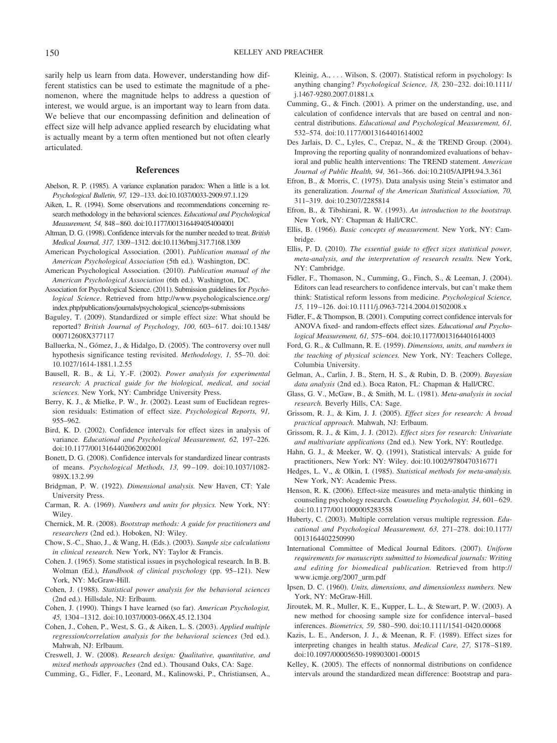sarily help us learn from data. However, understanding how different statistics can be used to estimate the magnitude of a phenomenon, where the magnitude helps to address a question of interest, we would argue, is an important way to learn from data. We believe that our encompassing definition and delineation of effect size will help advance applied research by elucidating what is actually meant by a term often mentioned but not often clearly articulated.

#### **References**

- Abelson, R. P. (1985). A variance explanation paradox: When a little is a lot. *Psychological Bulletin, 97,* 129–133. doi:10.1037/0033-2909.97.1.129
- Aiken, L. R. (1994). Some observations and recommendations concerning research methodology in the behavioral sciences. *Educational and Psychological Measurement, 54,* 848–860. doi:10.1177/0013164494054004001
- Altman, D. G. (1998). Confidence intervals for the number needed to treat. *British Medical Journal, 317,* 1309–1312. doi:10.1136/bmj.317.7168.1309
- American Psychological Association. (2001). *Publication manual of the American Psychological Association* (5th ed.). Washington, DC.
- American Psychological Association. (2010). *Publication manual of the American Psychological Association* (6th ed.). Washington, DC.
- Association for Psychological Science. (2011). Submission guidelines for *Psychological Science*. Retrieved from http://www.psychologicalscience.org/ index.php/publications/journals/psychological\_science/ps-submissions
- Baguley, T. (2009). Standardized or simple effect size: What should be reported? *British Journal of Psychology, 100, 603*-617. doi:10.1348/ 000712608X377117
- Balluerka, N., Gómez, J., & Hidalgo, D. (2005). The controversy over null hypothesis significance testing revisited. *Methodology, 1,* 55–70. doi: 10.1027/1614-1881.1.2.55
- Bausell, R. B., & Li, Y.-F. (2002). *Power analysis for experimental research: A practical guide for the biological, medical, and social sciences.* New York, NY: Cambridge University Press.
- Berry, K. J., & Mielke, P. W., Jr. (2002). Least sum of Euclidean regression residuals: Estimation of effect size. *Psychological Reports, 91,* 955–962.
- Bird, K. D. (2002). Confidence intervals for effect sizes in analysis of variance. *Educational and Psychological Measurement, 62,* 197–226. doi:10.1177/0013164402062002001
- Bonett, D. G. (2008). Confidence intervals for standardized linear contrasts of means. *Psychological Methods, 13,* 99 –109. doi:10.1037/1082- 989X.13.2.99
- Bridgman, P. W. (1922). *Dimensional analysis.* New Haven, CT: Yale University Press.
- Carman, R. A. (1969). *Numbers and units for physics.* New York, NY: Wiley.
- Chernick, M. R. (2008). *Bootstrap methods: A guide for practitioners and researchers* (2nd ed.). Hoboken, NJ: Wiley.
- Chow, S.-C., Shao, J., & Wang, H. (Eds.). (2003). *Sample size calculations in clinical research.* New York, NY: Taylor & Francis.
- Cohen. J. (1965). Some statistical issues in psychological research. In B. B. Wolman (Ed.), *Handbook of clinical psychology* (pp. 95–121). New York, NY: McGraw-Hill.
- Cohen, J. (1988). *Statistical power analysis for the behavioral sciences* (2nd ed.). Hillsdale, NJ: Erlbaum.
- Cohen, J. (1990). Things I have learned (so far). *American Psychologist, 45,* 1304 –1312. doi:10.1037/0003-066X.45.12.1304
- Cohen, J., Cohen, P., West, S. G., & Aiken, L. S. (2003). *Applied multiple regression/correlation analysis for the behavioral sciences* (3rd ed.). Mahwah, NJ: Erlbaum.
- Creswell, J. W. (2008). *Research design: Qualitative, quantitative, and mixed methods approaches* (2nd ed.). Thousand Oaks, CA: Sage.
- Cumming, G., Fidler, F., Leonard, M., Kalinowski, P., Christiansen, A.,

Kleinig, A., ... Wilson, S. (2007). Statistical reform in psychology: Is anything changing? *Psychological Science, 18,* 230 –232. doi:10.1111/ j.1467-9280.2007.01881.x

- Cumming, G., & Finch. (2001). A primer on the understanding, use, and calculation of confidence intervals that are based on central and noncentral distributions. *Educational and Psychological Measurement, 61,* 532–574. doi:10.1177/0013164401614002
- Des Jarlais, D. C., Lyles, C., Crepaz, N., & the TREND Group. (2004). Improving the reporting quality of nonrandomized evaluations of behavioral and public health interventions: The TREND statement. *American Journal of Public Health, 94,* 361–366. doi:10.2105/AJPH.94.3.361
- Efron, B., & Morris, C. (1975). Data analysis using Stein's estimator and its generalization. *Journal of the American Statistical Association, 70,* 311–319. doi:10.2307/2285814
- Efron, B., & Tibshirani, R. W. (1993). *An introduction to the bootstrap.* New York, NY: Chapman & Hall/CRC.
- Ellis, B. (1966). *Basic concepts of measurement.* New York, NY: Cambridge.
- Ellis, P. D. (2010). *The essential guide to effect sizes statistical power, meta-analysis, and the interpretation of research results.* New York, NY: Cambridge.
- Fidler, F., Thomason, N., Cumming, G., Finch, S., & Leeman, J. (2004). Editors can lead researchers to confidence intervals, but can't make them think: Statistical reform lessons from medicine. *Psychological Science, 15,* 119 –126. doi:10.1111/j.0963-7214.2004.01502008.x
- Fidler, F., & Thompson, B. (2001). Computing correct confidence intervals for ANOVA fixed- and random-effects effect sizes. *Educational and Psychological Measurement, 61,* 575– 604. doi:10.1177/0013164401614003
- Ford, G. R., & Cullmann, R. E. (1959). *Dimensions, units, and numbers in the teaching of physical sciences.* New York, NY: Teachers College, Columbia University.
- Gelman, A., Carlin, J. B., Stern, H. S., & Rubin, D. B. (2009). *Bayesian data analysis* (2nd ed.). Boca Raton, FL: Chapman & Hall/CRC.
- Glass, G. V., McGaw, B., & Smith, M. L. (1981). *Meta-analysis in social research.* Beverly Hills, CA: Sage.
- Grissom, R. J., & Kim, J. J. (2005). *Effect sizes for research: A broad practical approach.* Mahwah, NJ: Erlbaum.
- Grissom, R. J., & Kim, J. J. (2012). *Effect sizes for research: Univariate and multivariate applications* (2nd ed.). New York, NY: Routledge.
- Hahn, G. J., & Meeker, W. Q. (1991), Statistical intervals*:* A guide for practitioners, New York: NY: Wiley. doi:10.1002/9780470316771
- Hedges, L. V., & Olkin, I. (1985). *Statistical methods for meta-analysis.* New York, NY: Academic Press.
- Henson, R. K. (2006). Effect-size measures and meta-analytic thinking in counseling psychology research. *Counseling Psychologist*, 34, 601-629. doi:10.1177/0011000005283558
- Huberty, C. (2003). Multiple correlation versus multiple regression. *Educational and Psychological Measurement, 63,* 271–278. doi:10.1177/ 0013164402250990
- International Committee of Medical Journal Editors. (2007). *Uniform requirements for manuscripts submitted to biomedical journals: Writing and editing for biomedical publication.* Retrieved from http:// www.icmje.org/2007\_urm.pdf
- Ipsen, D. C. (1960). *Units, dimensions, and dimensionless numbers.* New York, NY: McGraw-Hill.
- Jiroutek, M. R., Muller, K. E., Kupper, L. L., & Stewart, P. W. (2003). A new method for choosing sample size for confidence interval– based inferences. *Biometrics, 59,* 580 –590. doi:10.1111/1541-0420.00068
- Kazis, L. E., Anderson, J. J., & Meenan, R. F. (1989). Effect sizes for interpreting changes in health status. *Medical Care, 27,* S178 –S189. doi:10.1097/00005650-198903001-00015
- Kelley, K. (2005). The effects of nonnormal distributions on confidence intervals around the standardized mean difference: Bootstrap and para-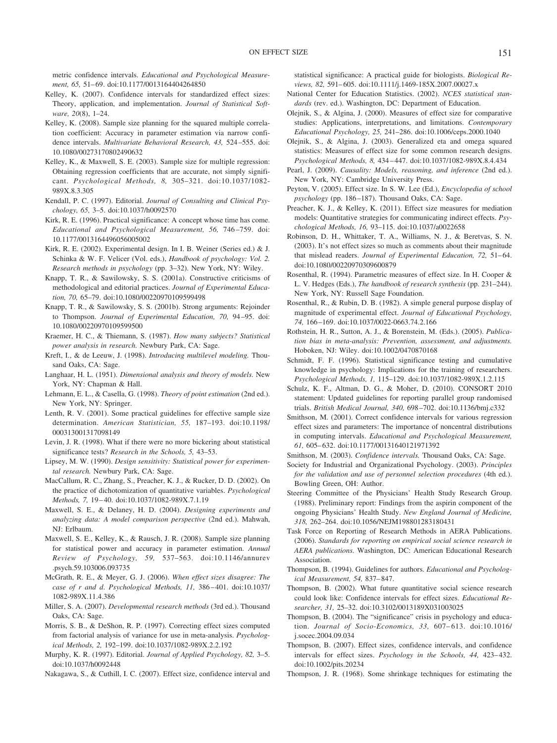metric confidence intervals. *Educational and Psychological Measure*ment, 65, 51-69. doi:10.1177/0013164404264850

- Kelley, K. (2007). Confidence intervals for standardized effect sizes: Theory, application, and implementation. *Journal of Statistical Software, 20*(8), 1–24.
- Kelley, K. (2008). Sample size planning for the squared multiple correlation coefficient: Accuracy in parameter estimation via narrow confidence intervals. *Multivariate Behavioral Research, 43,* 524 –555. doi: 10.1080/00273170802490632
- Kelley, K., & Maxwell, S. E. (2003). Sample size for multiple regression: Obtaining regression coefficients that are accurate, not simply significant. *Psychological Methods, 8,* 305–321. doi:10.1037/1082- 989X.8.3.305
- Kendall, P. C. (1997). Editorial. *Journal of Consulting and Clinical Psychology, 65,* 3–5. doi:10.1037/h0092570
- Kirk, R. E. (1996). Practical significance: A concept whose time has come. *Educational and Psychological Measurement, 56,* 746 –759. doi: 10.1177/0013164496056005002
- Kirk, R. E. (2002). Experimental design. In I. B. Weiner (Series ed.) & J. Schinka & W. F. Velicer (Vol. eds.), *Handbook of psychology: Vol. 2. Research methods in psychology* (pp. 3–32). New York, NY: Wiley.
- Knapp, T. R., & Sawilowsky, S. S. (2001a). Constructive criticisms of methodological and editorial practices. *Journal of Experimental Education, 70,* 65–79. doi:10.1080/00220970109599498
- Knapp, T. R., & Sawilowsky, S. S. (2001b). Strong arguments: Rejoinder to Thompson. *Journal of Experimental Education, 70,* 94 –95. doi: 10.1080/00220970109599500
- Kraemer, H. C., & Thiemann, S. (1987). *How many subjects? Statistical power analysis in research.* Newbury Park, CA: Sage.
- Kreft, I., & de Leeuw, J. (1998). *Introducing multilevel modeling.* Thousand Oaks, CA: Sage.
- Langhaar, H. L. (1951). *Dimensional analysis and theory of models.* New York, NY: Chapman & Hall.
- Lehmann, E. L., & Casella, G. (1998). *Theory of point estimation* (2nd ed.). New York, NY: Springer.
- Lenth, R. V. (2001). Some practical guidelines for effective sample size determination. *American Statistician, 55,* 187–193. doi:10.1198/ 000313001317098149
- Levin, J. R. (1998). What if there were no more bickering about statistical significance tests? *Research in the Schools, 5,* 43–53.
- Lipsey, M. W. (1990). *Design sensitivity: Statistical power for experimental research.* Newbury Park, CA: Sage.
- MacCallum, R. C., Zhang, S., Preacher, K. J., & Rucker, D. D. (2002). On the practice of dichotomization of quantitative variables. *Psychological Methods, 7,* 19 – 40. doi:10.1037/1082-989X.7.1.19
- Maxwell, S. E., & Delaney, H. D. (2004). *Designing experiments and analyzing data: A model comparison perspective* (2nd ed.). Mahwah, NJ: Erlbaum.
- Maxwell, S. E., Kelley, K., & Rausch, J. R. (2008). Sample size planning for statistical power and accuracy in parameter estimation. *Annual Review of Psychology, 59,* 537–563. doi:10.1146/annurev .psych.59.103006.093735
- McGrath, R. E., & Meyer, G. J. (2006). *When effect sizes disagree: The case of r and d*. *Psychological Methods, 11,* 386 – 401. doi:10.1037/ 1082-989X.11.4.386
- Miller, S. A. (2007). *Developmental research methods* (3rd ed.). Thousand Oaks, CA: Sage.
- Morris, S. B., & DeShon, R. P. (1997). Correcting effect sizes computed from factorial analysis of variance for use in meta-analysis. *Psychological Methods, 2,* 192–199. doi:10.1037/1082-989X.2.2.192
- Murphy, K. R. (1997). Editorial. *Journal of Applied Psychology, 82,* 3–5. doi:10.1037/h0092448
- Nakagawa, S., & Cuthill, I. C. (2007). Effect size, confidence interval and

statistical significance: A practical guide for biologists. *Biological Reviews, 82,* 591– 605. doi:10.1111/j.1469-185X.2007.00027.x

- National Center for Education Statistics. (2002). *NCES statistical standards* (rev. ed.). Washington, DC: Department of Education.
- Olejnik, S., & Algina, J. (2000). Measures of effect size for comparative studies: Applications, interpretations, and limitations. *Contemporary Educational Psychology, 25,* 241–286. doi:10.1006/ceps.2000.1040
- Olejnik, S., & Algina, J. (2003). Generalized eta and omega squared statistics: Measures of effect size for some common research designs. *Psychological Methods, 8,* 434 – 447. doi:10.1037/1082-989X.8.4.434
- Pearl, J. (2009). *Causality: Models, reasoning, and inference* (2nd ed.). New York, NY: Cambridge University Press.
- Peyton, V. (2005). Effect size. In S. W. Lee (Ed.), *Encyclopedia of school psychology* (pp. 186 –187). Thousand Oaks, CA: Sage.
- Preacher, K. J., & Kelley, K. (2011). Effect size measures for mediation models: Quantitative strategies for communicating indirect effects. *Psychological Methods, 16,* 93–115. doi:10.1037/a0022658
- Robinson, D. H., Whittaker, T. A., Williams, N. J., & Beretvas, S. N. (2003). It's not effect sizes so much as comments about their magnitude that mislead readers. *Journal of Experimental Education*, 72, 51-64. doi:10.1080/00220970309600879
- Rosenthal, R. (1994). Parametric measures of effect size. In H. Cooper & L. V. Hedges (Eds.), *The handbook of research synthesis* (pp. 231–244). New York, NY: Russell Sage Foundation.
- Rosenthal, R., & Rubin, D. B. (1982). A simple general purpose display of magnitude of experimental effect. *Journal of Educational Psychology, 74,* 166 –169. doi:10.1037/0022-0663.74.2.166
- Rothstein, H. R., Sutton, A. J., & Borenstein, M. (Eds.). (2005). *Publication bias in meta-analysis: Prevention, assessment, and adjustments.* Hoboken, NJ: Wiley. doi:10.1002/0470870168
- Schmidt, F. F. (1996). Statistical significance testing and cumulative knowledge in psychology: Implications for the training of researchers. *Psychological Methods, 1,* 115–129. doi:10.1037/1082-989X.1.2.115
- Schulz, K. F., Altman, D. G., & Moher, D. (2010). CONSORT 2010 statement: Updated guidelines for reporting parallel group randomised trials. *British Medical Journal, 340,* 698 –702. doi:10.1136/bmj.c332
- Smithson, M. (2001). Correct confidence intervals for various regression effect sizes and parameters: The importance of noncentral distributions in computing intervals. *Educational and Psychological Measurement, 61,* 605– 632. doi:10.1177/00131640121971392
- Smithson, M. (2003). *Confidence intervals.* Thousand Oaks, CA: Sage.
- Society for Industrial and Organizational Psychology. (2003). *Principles for the validation and use of personnel selection procedures* (4th ed.). Bowling Green, OH: Author.
- Steering Committee of the Physicians' Health Study Research Group. (1988). Preliminary report: Findings from the aspirin component of the ongoing Physicians' Health Study. *New England Journal of Medicine, 318,* 262–264. doi:10.1056/NEJM198801283180431
- Task Force on Reporting of Research Methods in AERA Publications. (2006). *Standards for reporting on empirical social science research in AERA publications.* Washington, DC: American Educational Research Association.
- Thompson, B. (1994). Guidelines for authors. *Educational and Psychological Measurement, 54,* 837– 847.
- Thompson, B. (2002). What future quantitative social science research could look like: Confidence intervals for effect sizes. *Educational Researcher, 31,* 25–32. doi:10.3102/0013189X031003025
- Thompson, B. (2004). The "significance" crisis in psychology and education. *Journal of Socio-Economics, 33,* 607– 613. doi:10.1016/ j.socec.2004.09.034
- Thompson, B. (2007). Effect sizes, confidence intervals, and confidence intervals for effect sizes. *Psychology in the Schools, 44, 423-432*. doi:10.1002/pits.20234
- Thompson, J. R. (1968). Some shrinkage techniques for estimating the